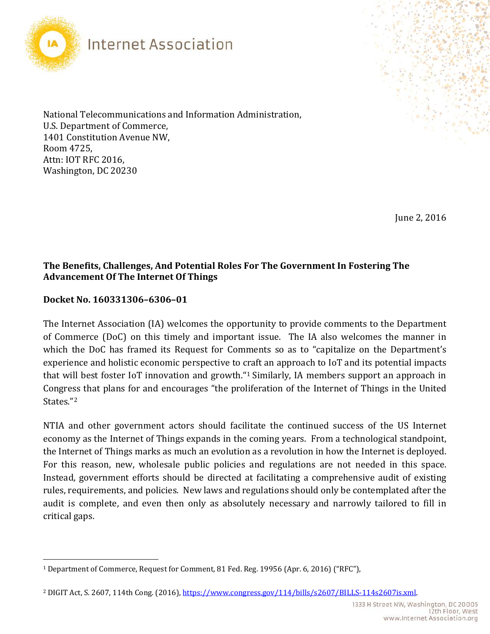

National Telecommunications and Information Administration, U.S. Department of Commerce, 1401 Constitution Avenue NW, Room 4725, Attn: IOT RFC 2016, Washington, DC 20230

June 2, 2016

### **The Benefits, Challenges, And Potential Roles For The Government In Fostering The Advancement Of The Internet Of Things**

#### **Docket No. 160331306–6306–01**

The Internet Association (IA) welcomes the opportunity to provide comments to the Department of Commerce (DoC) on this timely and important issue. The IA also welcomes the manner in which the DoC has framed its Request for Comments so as to "capitalize on the Department's experience and holistic economic perspective to craft an approach to IoT and its potential impacts that will best foster IoT innovation and growth."[1](#page-0-0) Similarly, IA members support an approach in Congress that plans for and encourages "the proliferation of the Internet of Things in the United States."[2](#page-0-1) 

NTIA and other government actors should facilitate the continued success of the US Internet economy as the Internet of Things expands in the coming years. From a technological standpoint, the Internet of Things marks as much an evolution as a revolution in how the Internet is deployed. For this reason, new, wholesale public policies and regulations are not needed in this space. Instead, government efforts should be directed at facilitating a comprehensive audit of existing rules, requirements, and policies. New laws and regulations should only be contemplated after the audit is complete, and even then only as absolutely necessary and narrowly tailored to fill in critical gaps.

<span id="page-0-0"></span> $\overline{a}$ <sup>1</sup> Department of Commerce, Request for Comment, 81 Fed. Reg. 19956 (Apr. 6, 2016) ("RFC"),

<span id="page-0-1"></span><sup>2</sup> DIGIT Act, S. 2607, 114th Cong. (2016)[, https://www.congress.gov/114/bills/s2607/BILLS-114s2607is.xml.](https://www.congress.gov/114/bills/s2607/BILLS-114s2607is.xml)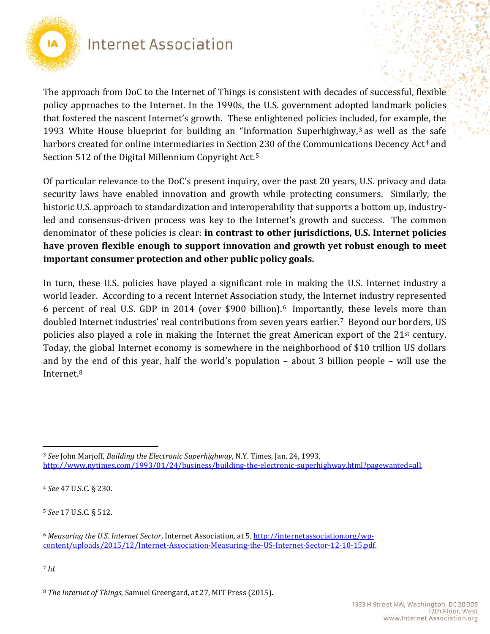

The approach from DoC to the Internet of Things is consistent with decades of successful, flexible policy approaches to the Internet. In the 1990s, the U.S. government adopted landmark policies that fostered the nascent Internet's growth. These enlightened policies included, for example, the 199[3](#page-1-0) White House blueprint for building an "Information Superhighway, $3$  as well as the safe harbors created for online intermediaries in Section 230 of the Communications Decency Act<sup>[4](#page-1-1)</sup> and Section 512 of the Digital Millennium Copyright Act.[5](#page-1-2)

Of particular relevance to the DoC's present inquiry, over the past 20 years, U.S. privacy and data security laws have enabled innovation and growth while protecting consumers. Similarly, the historic U.S. approach to standardization and interoperability that supports a bottom up, industryled and consensus-driven process was key to the Internet's growth and success. The common denominator of these policies is clear: **in contrast to other jurisdictions, U.S. Internet policies have proven flexible enough to support innovation and growth yet robust enough to meet important consumer protection and other public policy goals.** 

In turn, these U.S. policies have played a significant role in making the U.S. Internet industry a world leader. According to a recent Internet Association study, the Internet industry represented 6 percent of real U.S. GDP in 2014 (over \$900 billion).[6](#page-1-3) Importantl[y,](#page-1-4) these levels more than doubled Internet industries' real contributions from seven years earlier.7 Beyond our borders, US policies also played a role in making the Internet the great American export of the 21st century. Today, the global Internet economy is somewhere in the neighborhood of \$10 trillion US dollars and by the end of this year, half the world's population – about 3 billion people – will use the Internet.[8](#page-1-5)

<span id="page-1-1"></span><sup>4</sup> *See* 47 U.S.C. § 230.

<span id="page-1-2"></span><sup>5</sup> *See* 17 U.S.C. § 512.

<span id="page-1-4"></span><sup>7</sup> *Id.*

<span id="page-1-0"></span> $\overline{a}$ <sup>3</sup> *See* John Marjoff, *Building the Electronic Superhighway*, N.Y. Times, Jan. 24, 1993, [http://www.nytimes.com/1993/01/24/business/building-the-electronic-superhighway.html?pagewanted=all.](http://www.nytimes.com/1993/01/24/business/building-the-electronic-superhighway.html?pagewanted=all)

<span id="page-1-3"></span><sup>6</sup> *Measuring the U.S. Internet Sector*, Internet Association, at 5, [http://internetassociation.org/wp](http://internetassociation.org/wp-content/uploads/2015/12/Internet-Association-Measuring-the-US-Internet-Sector-12-10-15.pdf)[content/uploads/2015/12/Internet-Association-Measuring-the-US-Internet-Sector-12-10-15.pdf.](http://internetassociation.org/wp-content/uploads/2015/12/Internet-Association-Measuring-the-US-Internet-Sector-12-10-15.pdf)

<span id="page-1-5"></span><sup>8</sup> *The Internet of Things*, Samuel Greengard, at 27, MIT Press (2015).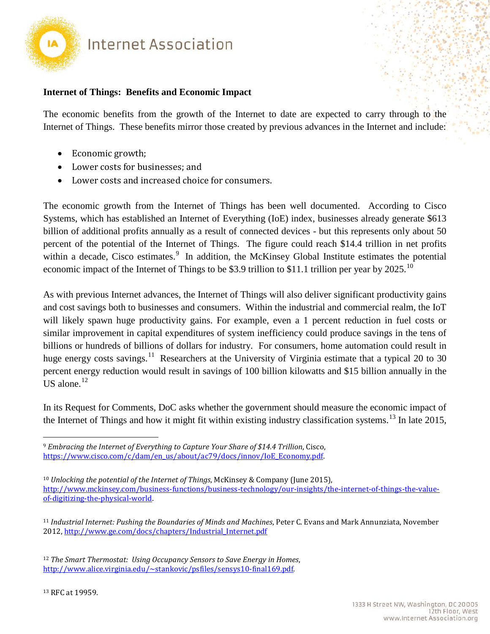

#### **Internet of Things: Benefits and Economic Impact**

The economic benefits from the growth of the Internet to date are expected to carry through to the Internet of Things. These benefits mirror those created by previous advances in the Internet and include:

- Economic growth;
- Lower costs for businesses; and
- Lower costs and increased choice for consumers.

The economic growth from the Internet of Things has been well documented. According to Cisco Systems, which has established an Internet of Everything (IoE) index, businesses already generate \$613 billion of additional profits annually as a result of connected devices - but this represents only about 50 percent of the potential of the Internet of Things. The figure could reach \$14.4 trillion in net profits within a decade, Cisco estimates.<sup>[9](#page-2-0)</sup> In addition, the McKinsey Global Institute estimates the potential economic impact of the Internet of Things to be \$3.9 trillion to \$11.1 trillion per year by 2025.<sup>[10](#page-2-1)</sup>

As with previous Internet advances, the Internet of Things will also deliver significant productivity gains and cost savings both to businesses and consumers. Within the industrial and commercial realm, the IoT will likely spawn huge productivity gains. For example, even a 1 percent reduction in fuel costs or similar improvement in capital expenditures of system inefficiency could produce savings in the tens of billions or hundreds of billions of dollars for industry. For consumers, home automation could result in huge energy costs savings.<sup>[11](#page-2-2)</sup> Researchers at the University of Virginia estimate that a typical 20 to 30 percent energy reduction would result in savings of 100 billion kilowatts and \$15 billion annually in the US alone. $12$ 

In its Request for Comments, DoC asks whether the government should measure the economic impact of the Internet of Things and how it might fit within existing industry classification systems.<sup>[13](#page-2-4)</sup> In late 2015,

<span id="page-2-4"></span><span id="page-2-3"></span><sup>12</sup> *The Smart Thermostat: Using Occupancy Sensors to Save Energy in Homes*, [http://www.alice.virginia.edu/~stankovic/psfiles/sensys10-final169.pdf.](http://www.alice.virginia.edu/~stankovic/psfiles/sensys10-final169.pdf)

<span id="page-2-0"></span><sup>9</sup> *Embracing the Internet of Everything to Capture Your Share of \$14.4 Trillion*, Cisco, [https://www.cisco.com/c/dam/en\\_us/about/ac79/docs/innov/IoE\\_Economy.pdf.](https://www.cisco.com/c/dam/en_us/about/ac79/docs/innov/IoE_Economy.pdf)

<span id="page-2-1"></span><sup>10</sup> *Unlocking the potential of the Internet of Things*, McKinsey & Company (June 2015), [http://www.mckinsey.com/business-functions/business-technology/our-insights/the-internet-of-things-the-value](http://www.mckinsey.com/business-functions/business-technology/our-insights/the-internet-of-things-the-value-of-digitizing-the-physical-world)[of-digitizing-the-physical-world.](http://www.mckinsey.com/business-functions/business-technology/our-insights/the-internet-of-things-the-value-of-digitizing-the-physical-world)

<span id="page-2-2"></span><sup>11</sup> *Industrial Internet: Pushing the Boundaries of Minds and Machines*, Peter C. Evans and Mark Annunziata, November 2012[, http://www.ge.com/docs/chapters/Industrial\\_Internet.pdf](http://www.ge.com/docs/chapters/Industrial_Internet.pdf)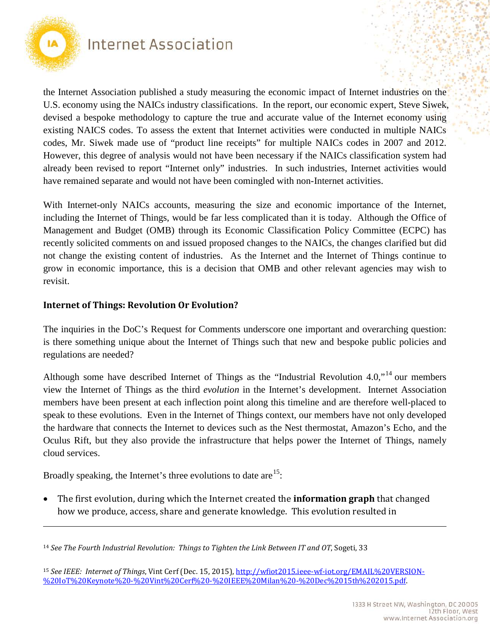

 $\overline{a}$ 

## Internet Association

the Internet Association published a study measuring the economic impact of Internet industries on the U.S. economy using the NAICs industry classifications. In the report, our economic expert, Steve Siwek, devised a bespoke methodology to capture the true and accurate value of the Internet economy using existing NAICS codes. To assess the extent that Internet activities were conducted in multiple NAICs codes, Mr. Siwek made use of "product line receipts" for multiple NAICs codes in 2007 and 2012. However, this degree of analysis would not have been necessary if the NAICs classification system had already been revised to report "Internet only" industries. In such industries, Internet activities would have remained separate and would not have been comingled with non-Internet activities.

With Internet-only NAICs accounts, measuring the size and economic importance of the Internet, including the Internet of Things, would be far less complicated than it is today. Although the Office of Management and Budget (OMB) through its Economic Classification Policy Committee (ECPC) has recently solicited comments on and issued proposed changes to the NAICs, the changes clarified but did not change the existing content of industries. As the Internet and the Internet of Things continue to grow in economic importance, this is a decision that OMB and other relevant agencies may wish to revisit.

#### **Internet of Things: Revolution Or Evolution?**

The inquiries in the DoC's Request for Comments underscore one important and overarching question: is there something unique about the Internet of Things such that new and bespoke public policies and regulations are needed?

Although some have described Internet of Things as the "Industrial Revolution 4.0,"<sup>[14](#page-3-0)</sup> our members view the Internet of Things as the third *evolution* in the Internet's development. Internet Association members have been present at each inflection point along this timeline and are therefore well-placed to speak to these evolutions. Even in the Internet of Things context, our members have not only developed the hardware that connects the Internet to devices such as the Nest thermostat, Amazon's Echo, and the Oculus Rift, but they also provide the infrastructure that helps power the Internet of Things, namely cloud services.

Broadly speaking, the Internet's three evolutions to date are<sup>15</sup>:

• The first evolution, during which the Internet created the **information graph** that changed how we produce, access, share and generate knowledge. This evolution resulted in

<span id="page-3-0"></span><sup>14</sup> *See The Fourth Industrial Revolution: Things to Tighten the Link Between IT and OT*, Sogeti, 33

<span id="page-3-1"></span><sup>15</sup> *See IEEE: Internet of Things*, Vint Cerf (Dec. 15, 2015), [http://wfiot2015.ieee-wf-iot.org/EMAIL%20VERSION-](http://wfiot2015.ieee-wf-iot.org/EMAIL%20VERSION-%20IoT%20Keynote%20-%20Vint%20Cerf%20-%20IEEE%20Milan%20-%20Dec%2015th%202015.pdf) [%20IoT%20Keynote%20-%20Vint%20Cerf%20-%20IEEE%20Milan%20-%20Dec%2015th%202015.pdf.](http://wfiot2015.ieee-wf-iot.org/EMAIL%20VERSION-%20IoT%20Keynote%20-%20Vint%20Cerf%20-%20IEEE%20Milan%20-%20Dec%2015th%202015.pdf)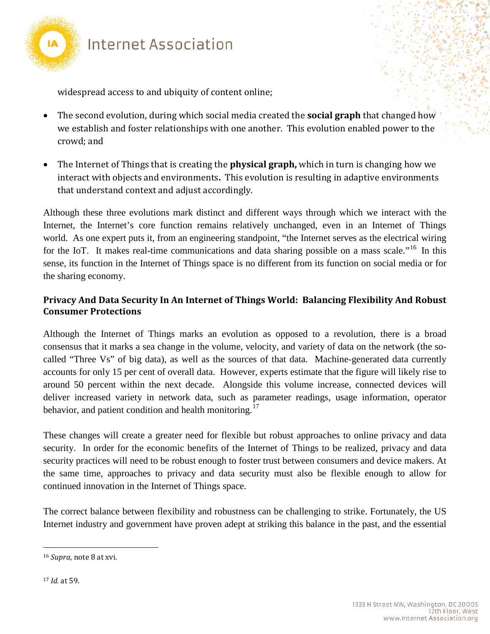

widespread access to and ubiquity of content online;

- The second evolution, during which social media created the **social graph** that changed how we establish and foster relationships with one another. This evolution enabled power to the crowd; and
- The Internet of Things that is creating the **physical graph,** which in turn is changing how we interact with objects and environments**.** This evolution is resulting in adaptive environments that understand context and adjust accordingly.

Although these three evolutions mark distinct and different ways through which we interact with the Internet, the Internet's core function remains relatively unchanged, even in an Internet of Things world. As one expert puts it, from an engineering standpoint, "the Internet serves as the electrical wiring for the IoT. It makes real-time communications and data sharing possible on a mass scale."<sup>[16](#page-4-0)</sup> In this sense, its function in the Internet of Things space is no different from its function on social media or for the sharing economy.

### **Privacy And Data Security In An Internet of Things World: Balancing Flexibility And Robust Consumer Protections**

Although the Internet of Things marks an evolution as opposed to a revolution, there is a broad consensus that it marks a sea change in the volume, velocity, and variety of data on the network (the socalled "Three Vs" of big data), as well as the sources of that data. Machine-generated data currently accounts for only 15 per cent of overall data. However, experts estimate that the figure will likely rise to around 50 percent within the next decade. Alongside this volume increase, connected devices will deliver increased variety in network data, such as parameter readings, usage information, operator behavior, and patient condition and health monitoring.<sup>[17](#page-4-1)</sup>

These changes will create a greater need for flexible but robust approaches to online privacy and data security. In order for the economic benefits of the Internet of Things to be realized, privacy and data security practices will need to be robust enough to foster trust between consumers and device makers. At the same time, approaches to privacy and data security must also be flexible enough to allow for continued innovation in the Internet of Things space.

The correct balance between flexibility and robustness can be challenging to strike. Fortunately, the US Internet industry and government have proven adept at striking this balance in the past, and the essential

<span id="page-4-0"></span><sup>16</sup> *Supra*, note 8 at xvi.

<span id="page-4-1"></span><sup>17</sup> *Id.* at 59.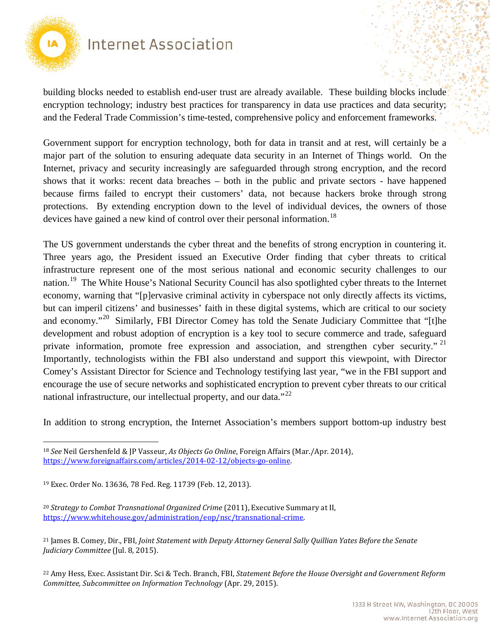

building blocks needed to establish end-user trust are already available. These building blocks include encryption technology; industry best practices for transparency in data use practices and data security; and the Federal Trade Commission's time-tested, comprehensive policy and enforcement frameworks.

Government support for encryption technology, both for data in transit and at rest, will certainly be a major part of the solution to ensuring adequate data security in an Internet of Things world. On the Internet, privacy and security increasingly are safeguarded through strong encryption, and the record shows that it works: recent data breaches – both in the public and private sectors - have happened because firms failed to encrypt their customers' data, not because hackers broke through strong protections. By extending encryption down to the level of individual devices, the owners of those devices have gained a new kind of control over their personal information.<sup>[18](#page-5-0)</sup>

The US government understands the cyber threat and the benefits of strong encryption in countering it. Three years ago, the President issued an Executive Order finding that cyber threats to critical infrastructure represent one of the most serious national and economic security challenges to our nation.<sup>19</sup> The White House's National Security Council has also spotlighted cyber threats to the Internet economy, warning that "[p]ervasive criminal activity in cyberspace not only directly affects its victims, but can imperil citizens' and businesses' faith in these digital systems, which are critical to our society and economy."<sup>20</sup> Similarly, FBI Director Comey has told the Senate Judiciary Committee that "[t]he development and robust adoption of encryption is a key tool to secure commerce and trade, safeguard private information, promote free expression and association, and strengthen cyber security."<sup>[21](#page-5-3)</sup> Importantly, technologists within the FBI also understand and support this viewpoint, with Director Comey's Assistant Director for Science and Technology testifying last year, "we in the FBI support and encourage the use of secure networks and sophisticated encryption to prevent cyber threats to our critical national infrastructure, our intellectual property, and our data."<sup>[22](#page-5-4)</sup>

In addition to strong encryption, the Internet Association's members support bottom-up industry best

<span id="page-5-0"></span> $\overline{a}$ <sup>18</sup> *See* Neil Gershenfeld & JP Vasseur, *As Objects Go Online*, Foreign Affairs (Mar./Apr. 2014), [https://www.foreignaffairs.com/articles/2014-02-12/objects-go-online.](https://www.foreignaffairs.com/articles/2014-02-12/objects-go-online)

<span id="page-5-1"></span><sup>19</sup> Exec. Order No. 13636, 78 Fed. Reg. 11739 (Feb. 12, 2013).

<span id="page-5-2"></span><sup>20</sup> *Strategy to Combat Transnational Organized Crime* (2011), Executive Summary at II, [https://www.whitehouse.gov/administration/eop/nsc/transnational-crime.](https://www.whitehouse.gov/administration/eop/nsc/transnational-crime)

<span id="page-5-3"></span><sup>21</sup> James B. Comey, Dir., FBI, *Joint Statement with Deputy Attorney General Sally Quillian Yates Before the Senate Judiciary Committee* (Jul. 8, 2015).

<span id="page-5-4"></span><sup>22</sup> Amy Hess, Exec. Assistant Dir. Sci & Tech. Branch, FBI, *Statement Before the House Oversight and Government Reform Committee, Subcommittee on Information Technology* (Apr. 29, 2015).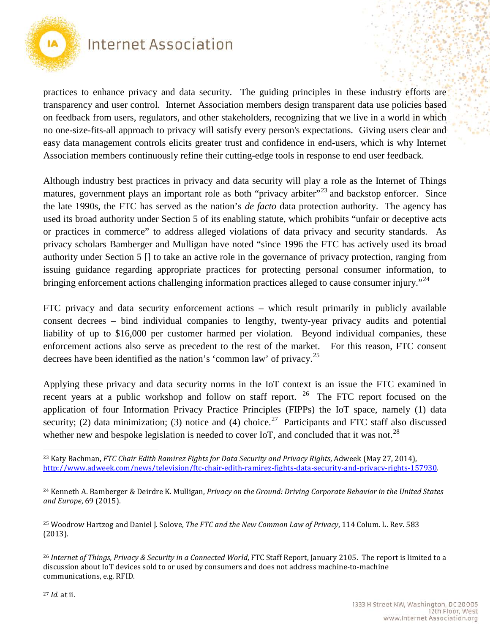

practices to enhance privacy and data security. The guiding principles in these industry efforts are transparency and user control. Internet Association members design transparent data use policies based on feedback from users, regulators, and other stakeholders, recognizing that we live in a world in which no one-size-fits-all approach to privacy will satisfy every person's expectations. Giving users clear and easy data management controls elicits greater trust and confidence in end-users, which is why Internet Association members continuously refine their cutting-edge tools in response to end user feedback.

Although industry best practices in privacy and data security will play a role as the Internet of Things matures, government plays an important role as both "privacy arbiter"<sup>[23](#page-6-0)</sup> and backstop enforcer. Since the late 1990s, the FTC has served as the nation's *de facto* data protection authority. The agency has used its broad authority under Section 5 of its enabling statute, which prohibits "unfair or deceptive acts or practices in commerce" to address alleged violations of data privacy and security standards. As privacy scholars Bamberger and Mulligan have noted "since 1996 the FTC has actively used its broad authority under Section 5 [] to take an active role in the governance of privacy protection, ranging from issuing guidance regarding appropriate practices for protecting personal consumer information, to bringing enforcement actions challenging information practices alleged to cause consumer injury."<sup>24</sup>

FTC privacy and data security enforcement actions – which result primarily in publicly available consent decrees – bind individual companies to lengthy, twenty-year privacy audits and potential liability of up to \$16,000 per customer harmed per violation. Beyond individual companies, these enforcement actions also serve as precedent to the rest of the market. For this reason, FTC consent decrees have been identified as the nation's 'common law' of privacy.<sup>[25](#page-6-2)</sup>

Applying these privacy and data security norms in the IoT context is an issue the FTC examined in recent years at a public workshop and follow on staff report. <sup>[26](#page-6-3)</sup> The FTC report focused on the application of four Information Privacy Practice Principles (FIPPs) the IoT space, namely (1) data security; (2) data minimization; (3) notice and (4) choice.<sup>27</sup> Participants and FTC staff also discussed whether new and bespoke legislation is needed to cover IoT, and concluded that it was not.<sup>28</sup>

<span id="page-6-5"></span><span id="page-6-0"></span> $\overline{a}$ <sup>23</sup> Katy Bachman, *FTC Chair Edith Ramirez Fights for Data Security and Privacy Rights*, Adweek (May 27, 2014), [http://www.adweek.com/news/television/ftc-chair-edith-ramirez-fights-data-security-and-privacy-rights-157930.](http://www.adweek.com/news/television/ftc-chair-edith-ramirez-fights-data-security-and-privacy-rights-157930)

<span id="page-6-1"></span><sup>24</sup> Kenneth A. Bamberger & Deirdre K. Mulligan, *Privacy on the Ground: Driving Corporate Behavior in the United States and Europe*, 69 (2015).

<span id="page-6-2"></span><sup>25</sup> Woodrow Hartzog and Daniel J. Solove, *The FTC and the New Common Law of Privacy*, 114 Colum. L. Rev. 583 (2013).

<span id="page-6-4"></span><span id="page-6-3"></span><sup>26</sup> *Internet of Things, Privacy & Security in a Connected World*, FTC Staff Report, January 2105. The report is limited to a discussion about IoT devices sold to or used by consumers and does not address machine-to-machine communications, e.g. RFID.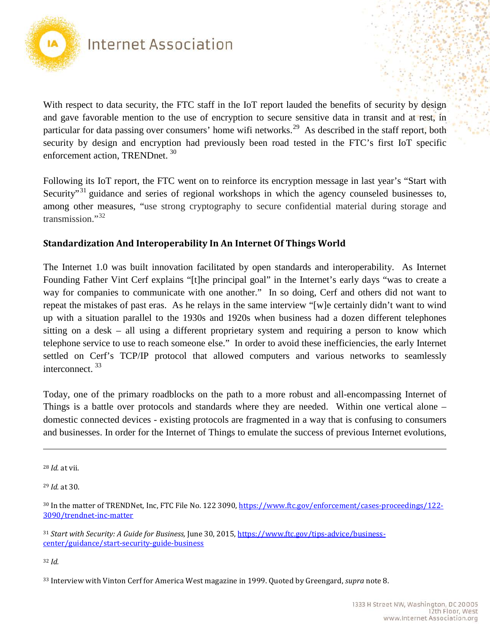

With respect to data security, the FTC staff in the IoT report lauded the benefits of security by design and gave favorable mention to the use of encryption to secure sensitive data in transit and at rest, in particular for data passing over consumers' home wifi networks.<sup>[29](#page-7-0)</sup> As described in the staff report, both security by design and encryption had previously been road tested in the FTC's first IoT specific enforcement action, TRENDnet.<sup>[30](#page-7-1)</sup>

Following its IoT report, the FTC went on to reinforce its encryption message in last year's "Start with Security<sup>[31](#page-7-2)</sup> guidance and series of regional workshops in which the agency counseled businesses to, among other measures, "use strong cryptography to secure confidential material during storage and transmission."<sup>[32](#page-7-3)</sup>

#### **Standardization And Interoperability In An Internet Of Things World**

The Internet 1.0 was built innovation facilitated by open standards and interoperability. As Internet Founding Father Vint Cerf explains "[t]he principal goal" in the Internet's early days "was to create a way for companies to communicate with one another." In so doing, Cerf and others did not want to repeat the mistakes of past eras. As he relays in the same interview "[w]e certainly didn't want to wind up with a situation parallel to the 1930s and 1920s when business had a dozen different telephones sitting on a desk – all using a different proprietary system and requiring a person to know which telephone service to use to reach someone else." In order to avoid these inefficiencies, the early Internet settled on Cerf's TCP/IP protocol that allowed computers and various networks to seamlessly interconnect.<sup>[33](#page-7-4)</sup>

Today, one of the primary roadblocks on the path to a more robust and all-encompassing Internet of Things is a battle over protocols and standards where they are needed. Within one vertical alone – domestic connected devices - existing protocols are fragmented in a way that is confusing to consumers and businesses. In order for the Internet of Things to emulate the success of previous Internet evolutions,

 $\overline{a}$ 

<span id="page-7-0"></span><sup>29</sup> *Id.* at 30.

<span id="page-7-3"></span><sup>32</sup> *Id.*

<sup>28</sup> *Id.* at vii.

<span id="page-7-1"></span><sup>30</sup> In the matter of TRENDNet, Inc, FTC File No. 122 3090, [https://www.ftc.gov/enforcement/cases-proceedings/122-](https://www.ftc.gov/enforcement/cases-proceedings/122-3090/trendnet-inc-matter) [3090/trendnet-inc-matter](https://www.ftc.gov/enforcement/cases-proceedings/122-3090/trendnet-inc-matter)

<span id="page-7-2"></span><sup>31</sup> *Start with Security: A Guide for Business,* June 30, 2015, [https://www.ftc.gov/tips-advice/business](https://www.ftc.gov/tips-advice/business-center/guidance/start-security-guide-business)[center/guidance/start-security-guide-business](https://www.ftc.gov/tips-advice/business-center/guidance/start-security-guide-business)

<span id="page-7-4"></span><sup>33</sup> Interview with Vinton Cerf for America West magazine in 1999. Quoted by Greengard, *supra* note 8.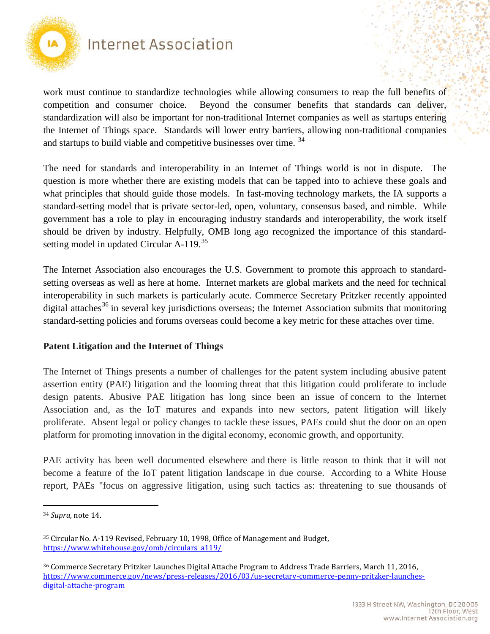

work must continue to standardize technologies while allowing consumers to reap the full benefits of competition and consumer choice. Beyond the consumer benefits that standards can deliver, standardization will also be important for non-traditional Internet companies as well as startups entering the Internet of Things space. Standards will lower entry barriers, allowing non-traditional companies and startups to build viable and competitive businesses over time.<sup>[34](#page-8-0)</sup>

The need for standards and interoperability in an Internet of Things world is not in dispute. The question is more whether there are existing models that can be tapped into to achieve these goals and what principles that should guide those models. In fast-moving technology markets, the IA supports a standard-setting model that is private sector-led, open, voluntary, consensus based, and nimble. While government has a role to play in encouraging industry standards and interoperability, the work itself should be driven by industry. Helpfully, OMB long ago recognized the importance of this standardsetting model in updated Circular  $A-119$ <sup>35</sup>

The Internet Association also encourages the U.S. Government to promote this approach to standardsetting overseas as well as here at home. Internet markets are global markets and the need for technical interoperability in such markets is particularly acute. Commerce Secretary Pritzker recently appointed digital attaches<sup>[36](#page-8-2)</sup> in several key jurisdictions overseas; the Internet Association submits that monitoring standard-setting policies and forums overseas could become a key metric for these attaches over time.

#### **Patent Litigation and the Internet of Things**

The Internet of Things presents a number of challenges for the patent system including abusive patent assertion entity (PAE) litigation and the looming threat that this litigation could proliferate to include design patents. Abusive PAE litigation has long since been an issue of concern to the Internet Association and, as the IoT matures and expands into new sectors, patent litigation will likely proliferate. Absent legal or policy changes to tackle these issues, PAEs could shut the door on an open platform for promoting innovation in the digital economy, economic growth, and opportunity.

PAE activity has been well documented elsewhere and there is little reason to think that it will not become a feature of the IoT patent litigation landscape in due course. According to a White House report, PAEs "focus on aggressive litigation, using such tactics as: threatening to sue thousands of

<span id="page-8-0"></span><sup>34</sup> *Supra,* note 14.

<span id="page-8-1"></span><sup>35</sup> Circular No. A-119 Revised, February 10, 1998, Office of Management and Budget, [https://www.whitehouse.gov/omb/circulars\\_a119/](https://www.whitehouse.gov/omb/circulars_a119/)

<span id="page-8-2"></span><sup>36</sup> Commerce Secretary Pritzker Launches Digital Attache Program to Address Trade Barriers, March 11, 2016, [https://www.commerce.gov/news/press-releases/2016/03/us-secretary-commerce-penny-pritzker-launches](https://www.commerce.gov/news/press-releases/2016/03/us-secretary-commerce-penny-pritzker-launches-digital-attache-program)[digital-attache-program](https://www.commerce.gov/news/press-releases/2016/03/us-secretary-commerce-penny-pritzker-launches-digital-attache-program)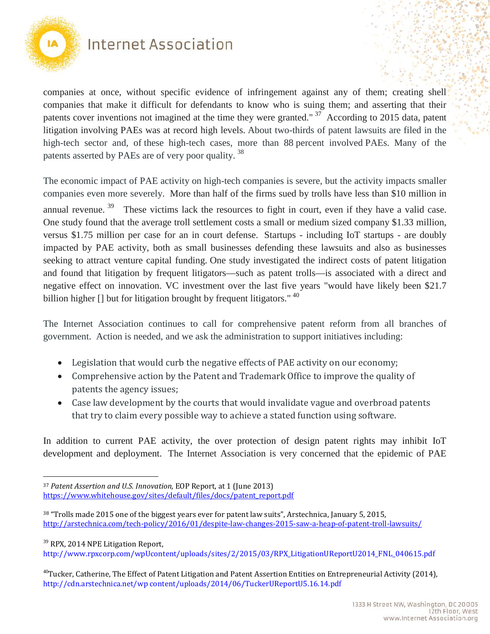

 $\overline{a}$ 

### Internet Association

companies at once, without specific evidence of infringement against any of them; creating shell companies that make it difficult for defendants to know who is suing them; and asserting that their patents cover inventions not imagined at the time they were granted."<sup>[37](#page-9-0)</sup> According to 2015 data, patent litigation involving PAEs was at record high levels. About two-thirds of patent lawsuits are filed in the high-tech sector and, of these high-tech cases, more than 88 percent involved PAEs. Many of the patents asserted by PAEs are of very poor quality. [38](#page-9-1)

The economic impact of PAE activity on high-tech companies is severe, but the activity impacts smaller companies even more severely. More than half of the firms sued by trolls have less than \$10 million in annual revenue.<sup>[39](#page-9-2)</sup> These victims lack the resources to fight in court, even if they have a valid case. One study found that the average troll settlement costs a small or medium sized company \$1.33 million, versus \$1.75 million per case for an in court defense. Startups - including IoT startups - are doubly impacted by PAE activity, both as small businesses defending these lawsuits and also as businesses seeking to attract venture capital funding. One study investigated the indirect costs of patent litigation and found that litigation by frequent litigators—such as patent trolls—is associated with a direct and negative effect on innovation. VC investment over the last five years "would have likely been \$21.7 billion higher [] but for litigation brought by frequent litigators." <sup>[40](#page-9-3)</sup>

The Internet Association continues to call for comprehensive patent reform from all branches of government. Action is needed, and we ask the administration to support initiatives including:

- Legislation that would curb the negative effects of PAE activity on our economy;
- Comprehensive action by the Patent and Trademark Office to improve the quality of patents the agency issues;
- Case law development by the courts that would invalidate vague and overbroad patents that try to claim every possible way to achieve a stated function using software.

In addition to current PAE activity, the over protection of design patent rights may inhibit IoT development and deployment. The Internet Association is very concerned that the epidemic of PAE

<span id="page-9-2"></span><sup>39</sup> RPX, 2014 NPE Litigation Report, http://www.rpxcorp.com/wpUcontent/uploads/sites/2/2015/03/RPX\_LitigationUReportU2014\_FNL\_040615.pdf

<span id="page-9-0"></span><sup>37</sup> *Patent Assertion and U.S. Innovation,* EOP Report, at 1 (June 2013) [https://www.whitehouse.gov/sites/default/files/docs/patent\\_report.pdf](https://www.whitehouse.gov/sites/default/files/docs/patent_report.pdf)

<span id="page-9-1"></span><sup>38</sup> "Trolls made 2015 one of the biggest years ever for patent law suits", Arstechnica, January 5, 2015, <http://arstechnica.com/tech-policy/2016/01/despite-law-changes-2015-saw-a-heap-of-patent-troll-lawsuits/>

<span id="page-9-3"></span><sup>&</sup>lt;sup>40</sup>Tucker, Catherine, The Effect of Patent Litigation and Patent Assertion Entities on Entrepreneurial Activity (2014), http://cdn.arstechnica.net/wp content/uploads/2014/06/TuckerUReportU5.16.14.pdf